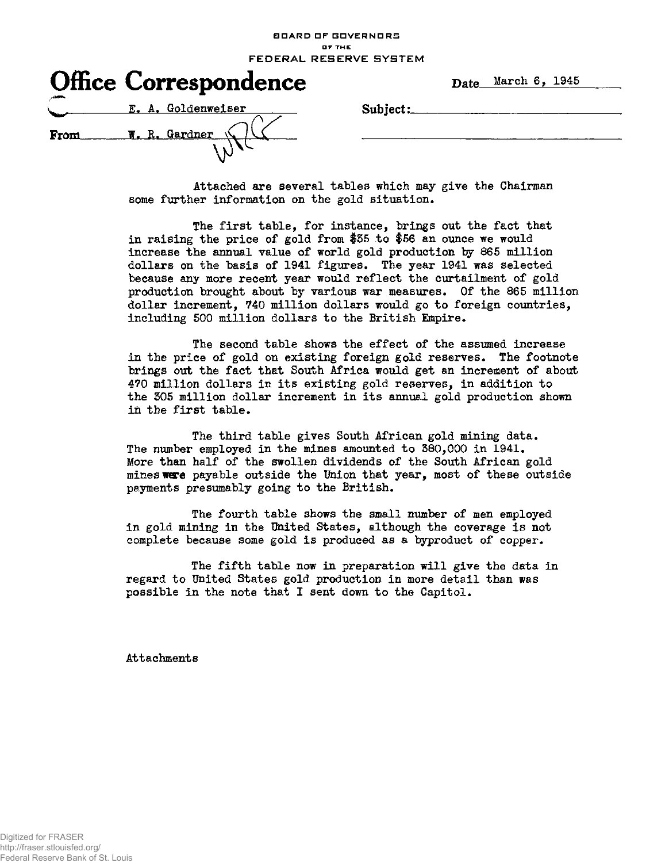BOARD OF GOVERNORS **O F TH E FEDERAL RESERVE SYSTEM** 

|      | <b>Office Correspondence</b> |
|------|------------------------------|
|      | E. A. Goldenweiser           |
| From | W. R. Gardner                |

Date March 6, 1945

 $Subject:$ .  $\qquad \qquad$ 

Attached are several tables which may give the Chairman some further information on the gold situation.

The first table, for instance, brings out the fact that in raising the price of gold from #55 to \$56 an ounce we would increase the annual value of world gold production by 865 million dollars on the basis of 1941 figures. The year 1941 was selected because any more recent year would reflect the curtailment of gold production brought about by various war measures. Of the 865 million dollar increment, 740 million dollars would go to foreign countries, including 500 million dollars to the British Empire.

The second table shows the effect of the assumed increase in the price of gold on existing foreign gold reserves. The footnote brings out the fact that South Africa would get an increment of about 470 million dollars in its existing gold reserves, in addition to the 305 million dollar increment in its annual gold production shown in the first table.

The third table gives South African gold mining data. The number employed in the mines amounted to 380,000 in 1941. More than half of the swollen dividends of the South African gold mines ware payable outside the Union that year, most of these outside payments presumably going to the British.

The fourth table shows the small number of men employed in gold mining in the United States, although the coverage is not complete because some gold is produced as a byproduct of copper.

The fifth table now in preparation will give the data in regard to United States gold production in more detail than was possible in the note that I sent down to the Capitol.

Attachments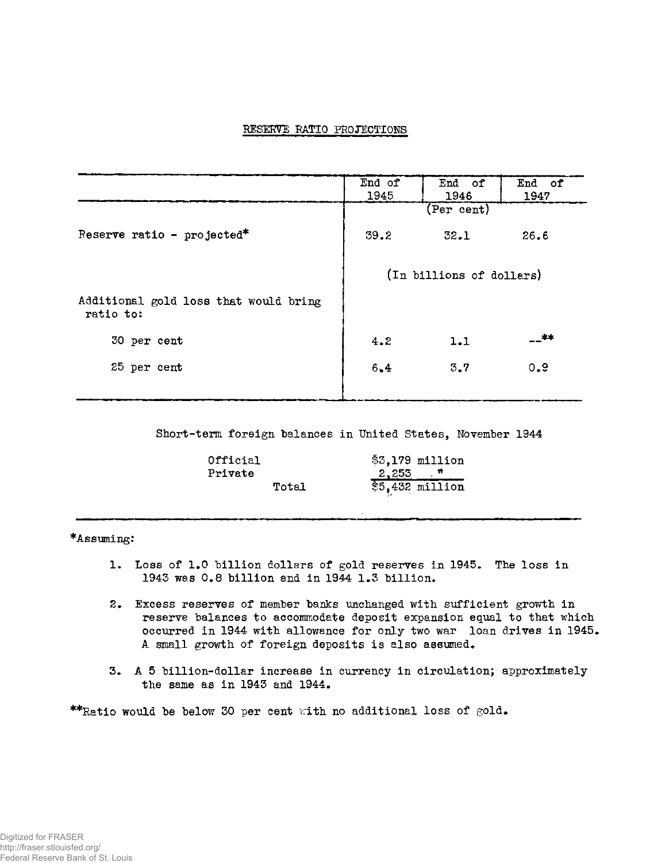# RESERVE RATIO PROJECTIONS

|                                                    | End of<br>1945           | End of<br>1946 | End of<br>1947 |  |  |  |
|----------------------------------------------------|--------------------------|----------------|----------------|--|--|--|
|                                                    |                          | (Per cent)     |                |  |  |  |
| Reserve ratio - projected*                         | 39.2                     | 32.1           | 26.6           |  |  |  |
|                                                    | (In billions of dollars) |                |                |  |  |  |
| Additional gold loss that would bring<br>ratio to: |                          |                |                |  |  |  |
| 30 per cent                                        | 4.2                      | 1.1            | __≉≭           |  |  |  |
| 25 per cent                                        | 6,4                      | 3.7            | 0.9            |  |  |  |
|                                                    |                          |                |                |  |  |  |

Short-term foreign balances in United States, November 1944

| Official |       |  | $$3,179$ million |
|----------|-------|--|------------------|
| Private  |       |  | $2,255$ $+$      |
|          | Total |  | $$5,432$ million |

\*Assuming:

- 1. Loss of 1.0 billion dollars of gold reserves in 1945. The loss in 1943 was 0.8 billion and in 1944 1.3 billion.
- 2. Excess reserves of member banks unchanged with sufficient growth in reserve balances to accommodate deposit expansion equal to that which occurred in 1944 with allowance for only two war loan drives in 1945. A small growth of foreign deposits is also assumed.
- 3. A 5 billion-dollar increase in currency in circulation; approximately the same as in 1943 and 1944.

\*\*Ratio would be below 30 per cent with no additional loss of gold.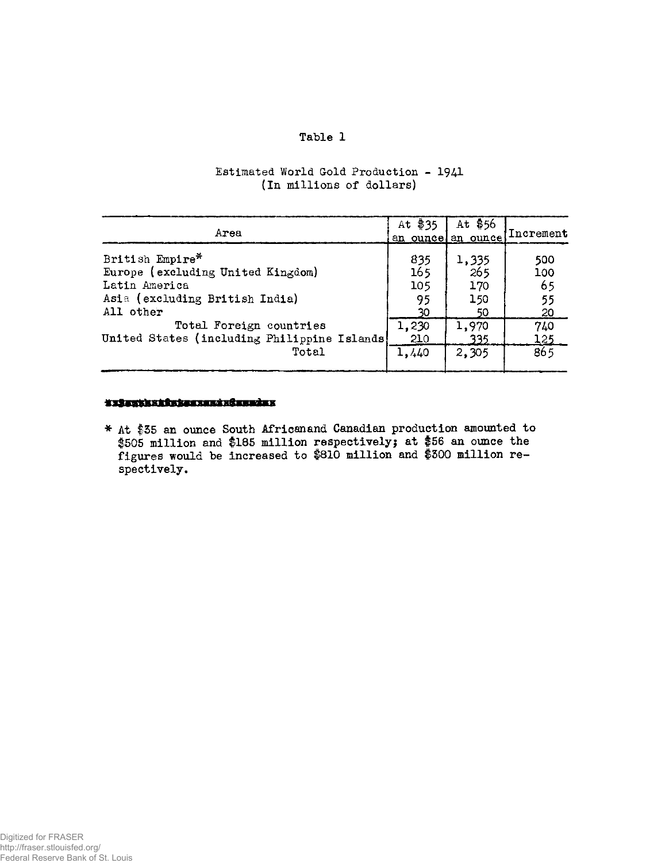## **Table 1**

| Estimated World Gold Production - 1941 |  |
|----------------------------------------|--|
| (In millions of dollars)               |  |

| Area                                         | At \$35    | At $$56$<br>an ouncel an ounce | Increment |
|----------------------------------------------|------------|--------------------------------|-----------|
| British Empire*                              | 835        | 1,335                          | 500       |
| Europe (excluding United Kingdom)            | 165        | 265                            | 100       |
| Latin America                                | 105        | 170                            | 65        |
| Asia (excluding British India)               | 95         | 150                            | 55        |
| All other                                    | 30         | 50                             | 20        |
| Total Foreign countries                      | 1,230      | 1,970                          | 740       |
| United States (including Philippine Islands) | <b>2TO</b> | 335                            | 125       |
| Total                                        | 1,440      | 2,305                          | 865       |

### \*\*\*\*\*\*\*\*\*\*\*\*\*\*\*\*\*\*\*\*\*\*\*\*

\* At \$35 an ounce South African and Canadian production amounted to #505 million and #185 million respectively; at #56 an ounce the figures would be increased to #810 million and #500 million respectively.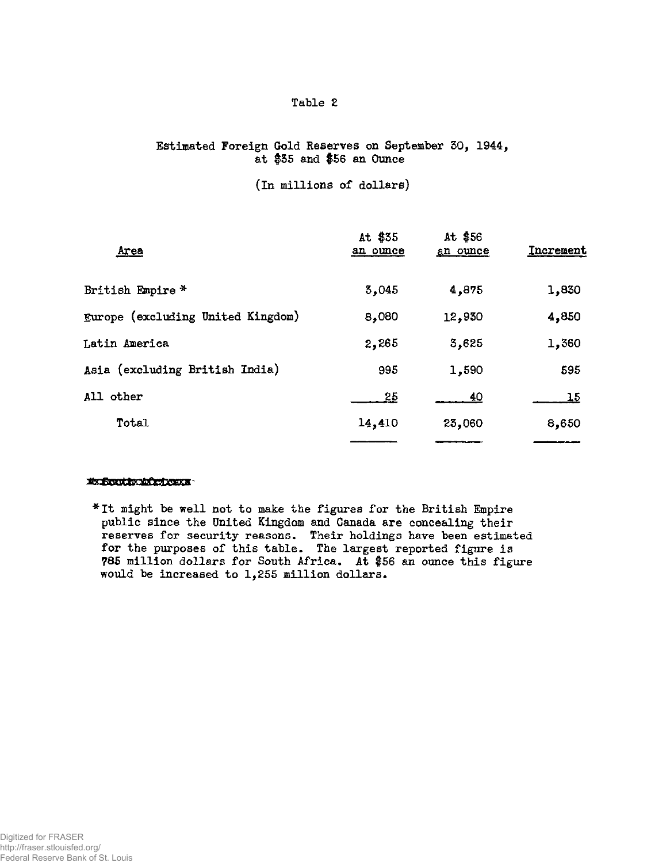## **Table 2**

## Estimated Foreign Gold Reserves on September 30, 1944, at \$35 and \$56 an Ounce

#### (In millions of dollars)

| Area                              | At \$35<br>an ounce | At $$56$<br>an ounce | Increment |
|-----------------------------------|---------------------|----------------------|-----------|
| British Empire *                  | 3,045               | 4,875                | 1,830     |
| Europe (excluding United Kingdom) | 8,080               | 12,930               | 4,850     |
| Latin America                     | 2,265               | 3,625                | 1,360     |
| Asia (excluding British India)    | 995                 | 1,590                | 595       |
| All other                         | 25                  | <u>40</u>            | <u>15</u> |
| Total                             | 14,410              | 23,060               | 8,650     |
|                                   |                     |                      |           |

#### Exportunited com

\*It might be well not to make the figures for the British Empire public since the United Kingdom and Canada are concealing their reserves for security reasons. Their holdings have been estimated for the purposes of this table. The largest reported figure is ?85 million dollars for South Africa. At \$56 an ounce this figure would be increased to 1,255 million dollars.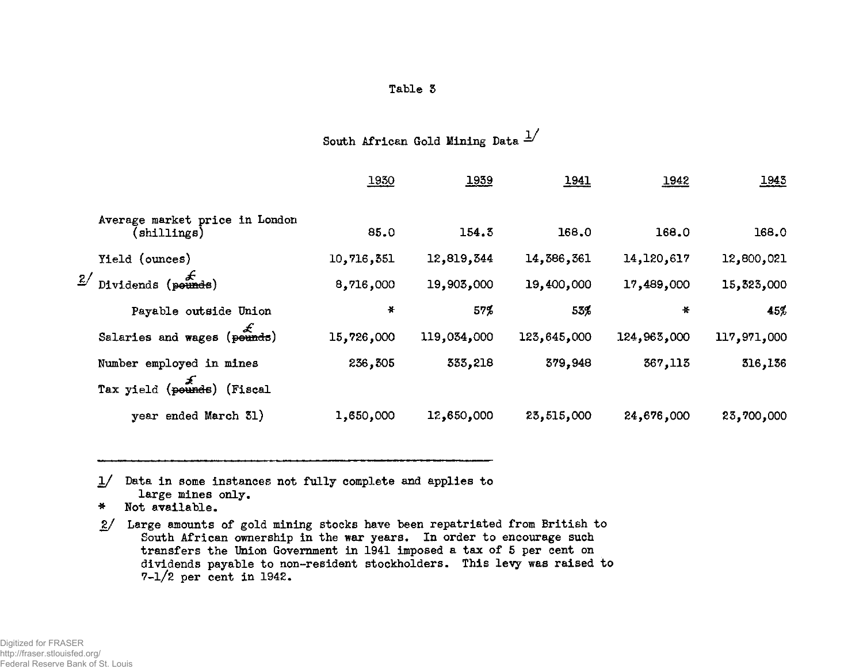| Tabl |  |
|------|--|
|------|--|

South African Gold Mining Data  $\frac{1}{2}$ 

|    |                                                          | 1930       | 1939        | <u> 1941 </u> | 1942         | 1943        |
|----|----------------------------------------------------------|------------|-------------|---------------|--------------|-------------|
|    | Average market price in London<br>$(\texttt{shillings})$ | 85.0       | 154.3       | 168.0         | 168.0        | 168.0       |
|    | Yield (ounces)                                           | 10,716,351 | 12,819,344  | 14,386,361    | 14, 120, 617 | 12,800,021  |
| 2/ | Dividends (pounds)                                       | 8,716,000  | 19,903,000  | 19,400,000    | 17,489,000   | 15,323,000  |
|    | Payable outside Union                                    | *          | 57%         | 53%           | ₩            | 45%         |
|    | Salaries and wages (pounds)                              | 15,726,000 | 119,034,000 | 123,645,000   | 124,963,000  | 117,971,000 |
|    | Number employed in mines                                 | 236,305    | 333,218     | 379,948       | 367,113      | 316,136     |
|    | Tax yield (pounds) (Fiscal                               |            |             |               |              |             |
|    | year ended March 31)                                     | 1,650,000  | 12,650,000  | 23,515,000    | 24,676,000   | 23,700,000  |

1/ Data in some instances not fully complete and applies to large mines only.

- \* Not available.
- 2/ Large amounts of gold mining stocks have been repatriated from British to South African ownership in the war years. In order to encourage such transfers the Union Government in 1941 imposed a tax of 5 per cent on dividends payable to non-resident stockholders. This levy was raised to 7-1/2 per cent in 1942.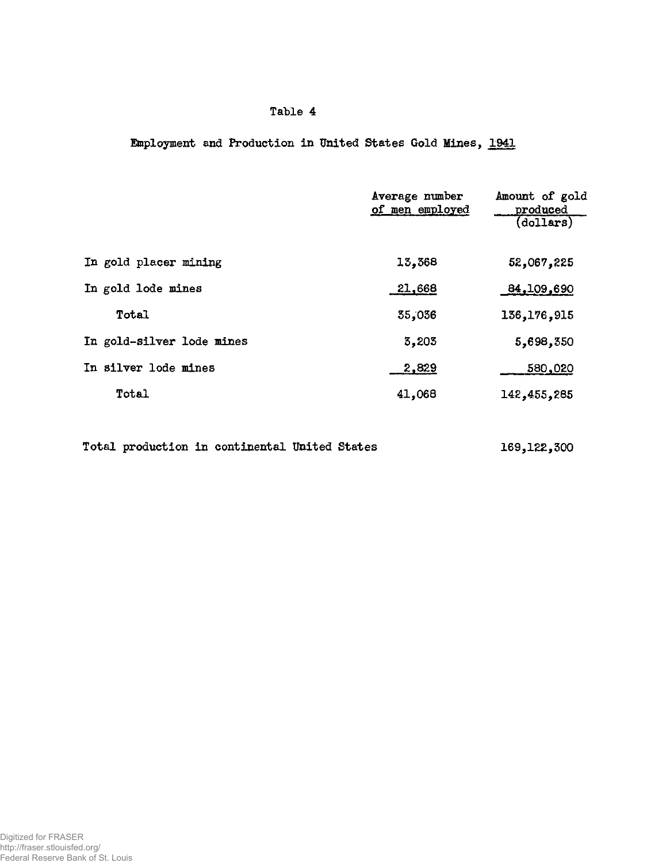# **Table 4**

Employment and Production in United States Gold Mines, 1941

|                           | Average number<br>of men employed | Amount of gold<br>produced<br>(dollars) |
|---------------------------|-----------------------------------|-----------------------------------------|
| In gold placer mining     | 13,368                            | 52,067,225                              |
| In gold lode mines        | 21,668                            | 84,109,690                              |
| Total                     | 35,036                            | 136, 176, 915                           |
| In gold-silver lode mines | 3,205                             | 5,698,350                               |
| In silver lode mines      | 2,829                             | 580,020                                 |
| Total                     | 41,068                            | 142,455,285                             |

Total production in continental United States 169,122,300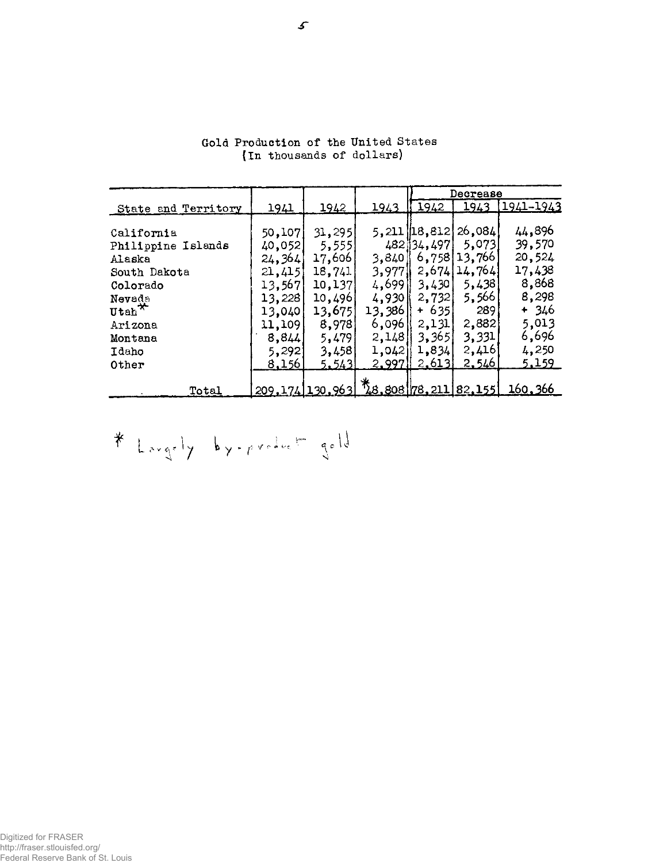|                         |               |                   |        |                   | Decrease                           |                                       |
|-------------------------|---------------|-------------------|--------|-------------------|------------------------------------|---------------------------------------|
| State and Territory     | <u> 1941 </u> | 1942              | 1943   | 1942              | 1943                               | 1941-1943                             |
|                         |               |                   |        |                   |                                    |                                       |
| California              | 50,107        | 31,295            |        | $5, 211$ [18,812] | $\left\lfloor 26,084\right\rfloor$ | 44,896                                |
| Philippine Islands      | 40,052        | 5,555             |        | 482 34,497        | 5.073                              | 39,570                                |
| Alaska                  | 24, 364       | 17,606            | 3,840  |                   | 6,758 13,766                       | 20,524                                |
| South Dakota            | 21,415        | 18,741            | 3,977  | 2,674             | 14,764                             | 17,438                                |
| Colorado                | 13,567        | 10,137            | 4,699  | 3,430             | 5,438                              | 8,868                                 |
| Nevada                  | 13,228        | 10,496            | 4,930  | 2,732             | 5,566                              | 8,298                                 |
| $\texttt{Utah}^{\star}$ | 13,040        | 13,675            | 13,386 | $+ 635$           | 289                                | $+346$                                |
| Arizona                 | 11,109        | 8,978             | 6,096  | 2,131             | 2,882                              | 5,013                                 |
| Montana                 | 8,844         | 5,479             | 2,148  | 3,365             | 3,331                              | 6,696                                 |
| Idaho                   | 5,292         | 3,458             | 1,042  | 1,834             | 2,416                              | 4,250                                 |
| Other                   | <u>8,156 </u> | 5.543             | 2.997  | 2,613             | <u>2.546</u>                       | 5.159                                 |
|                         |               |                   |        |                   |                                    |                                       |
| Total                   |               | 209, 174 130, 963 |        |                   |                                    | <u> 160.366 78.211 82.155 160.366</u> |

Gold Production of the United States {In thousands of dollars)

 $*$  Largely by-product gold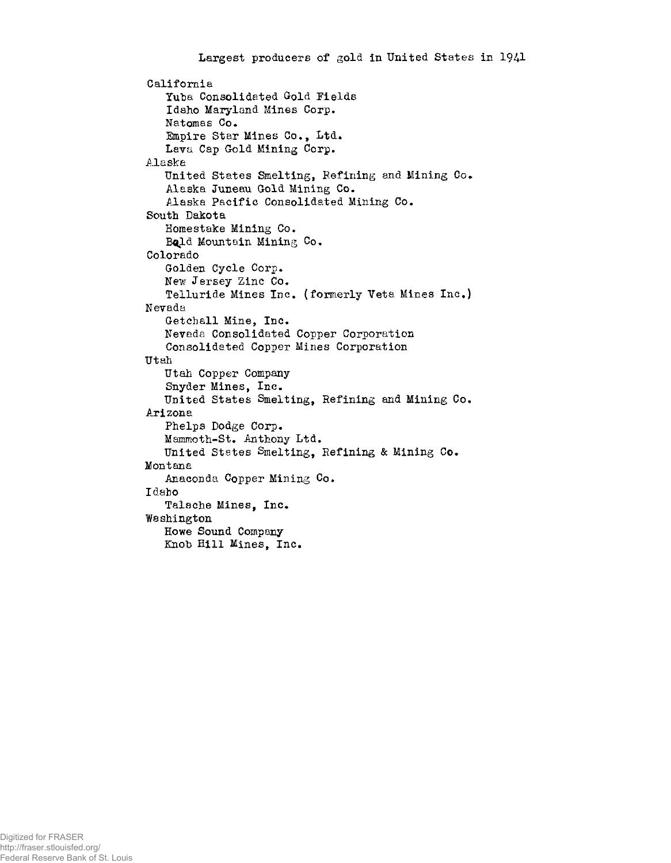```
California 
   Yuba Consolidated Gold Fields 
   Idaho Maryland Mines Corp. 
   Natomas Co. 
   Empire Star Mines Co., Ltd. 
   Lara Cap Gold Mining Corp. 
Alaska 
   United States Smelting, Refining and Mining Co. 
   Alaska Juneau Gold Mining Co. 
   Alaska Pacific Consolidated Mining Co. 
South Dakota 
   Homestake Mining Co. 
   Bold Mountain Mining Co.
Colorado 
   Golden Cycle Corp. 
   New Jersey Zinc Co. 
   Telluride Mines Inc. (formerly Veta Mines Inc.) 
Nevada 
   Getchall Mine, Inc. 
   Nevada Consolidated Copper Corporation 
   Consolidated Copper Mines Corporation 
Utah 
   Utah Copper Company 
   Snyder Mines, Inc. 
   United States Smelting, Refining and Mining Co. 
Arizona 
   Phelps Dodge Corp.
   Mammoth-St. Anthony Ltd. 
   United States Smelting, Refining & Mining Co. 
Montana 
   Anaconda Copper Mining Co. 
Idaho 
   Talache Mines, Inc. 
Washington 
   Howe Sound Company 
   Knob Hill Mines, Inc.
```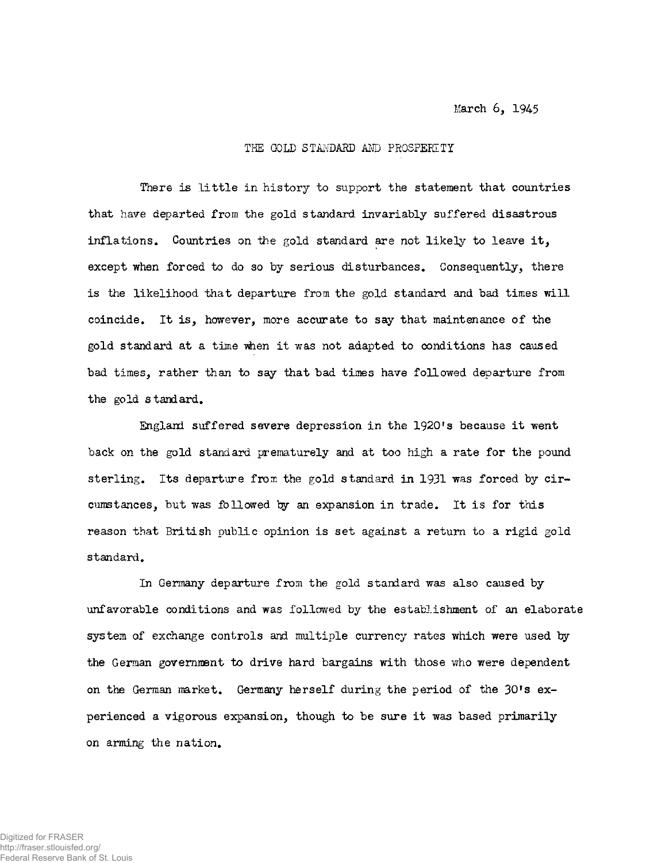March 6, 1945

#### THE GOLD STANDARD AND PROSPERITY

There is little in history to support the statement that countries that have departed from the gold standard invariably suffered disastrous inflations. Countries on the gold standard are not likely to leave it, except when forced to do so by serious disturbances. Consequently, there is the likelihood that departure from the gold standard and bad times will coincide. It is, however, more accurate to say that maintenance of the gold standard at a time when it was not adapted to conditions has caused bad times, rather than to say that bad times have followed departure from the gold standard.

England suffered severe depression in the 1920fs because it went back on the gold standard prematurely and at too high a rate for the pound sterling. Its departure from the gold standard in 1931 was forced by circumstances, but was followed ty an expansion in trade. It is for this reason that British public opinion is set against a return to a rigid gold standard.

In Germany departure from the gold standard was also caused by unfavorable conditions and was followed by the establishment of an elaborate system of exchange controls and multiple currency rates which were used by the German government to drive hard bargains with those who were dependent on the German market. Germany herself during the period of the 30's experienced a vigorous expansion, though to be sure it was based primarily on arming the nation.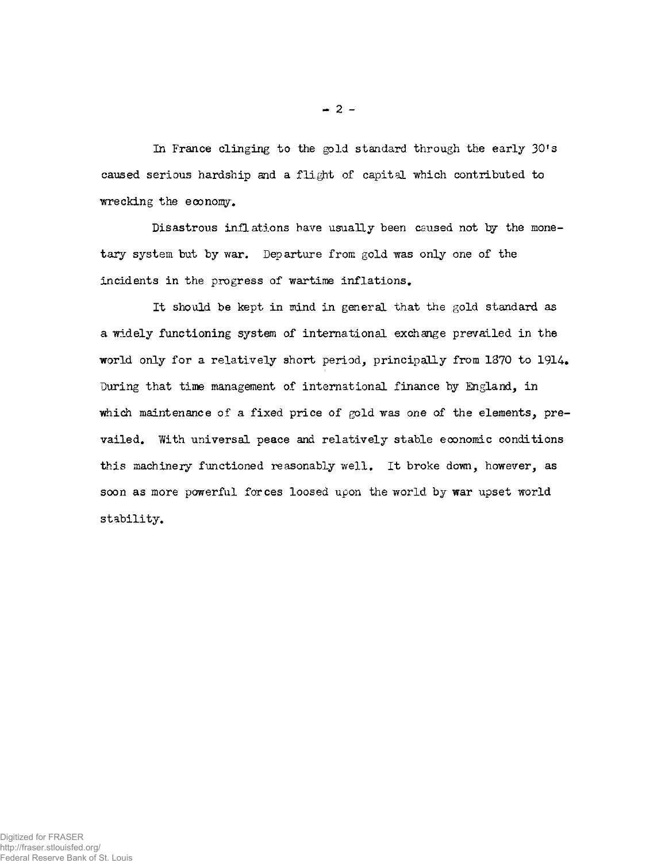In France clinging to the gold standard through the early 30's caused serious hardship and a flight of capital which contributed to wrecking the economy.

Disastrous inflations have usually been caused not by the monetary system but by war. Departure from gold was only one of the incidents in the progress of wartime inflations.

It should be kept in mind in general that the gold standard as a widely functioning system of international exchange prevailed in the world only for a relatively short period, principally from  $1370$  to  $1914$ . During that time management of international finance by England, in which maintenance of a fixed price of gold was one of the elements, prevailed. With universal peace and relatively stable eoonomic conditions this machinery functioned reasonably well. It broke down, however, as soon as more powerful forces loosed upon the world by war upset world stability.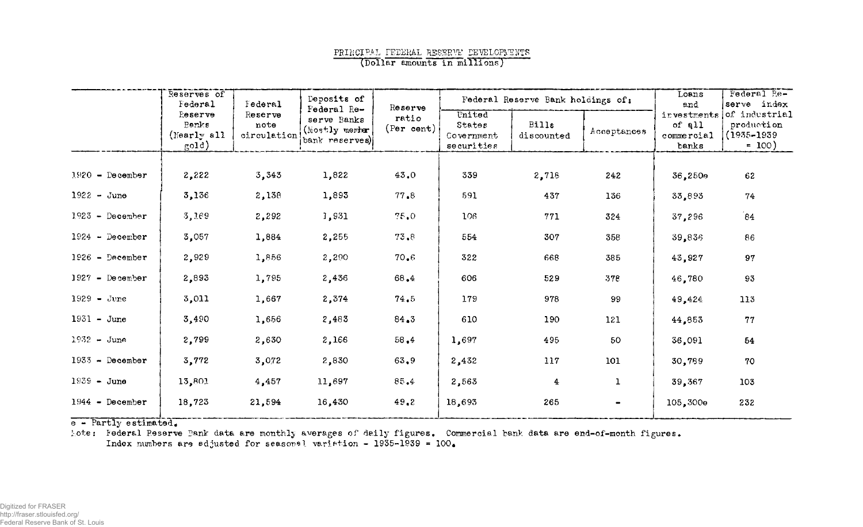## PRINCIPAL FEDERAL RESERVE DEVELOPMENTS (Dollar amounts in millions)

|                   | Reserves of<br>Federal                           | Tederal                        | Deposits of<br>Federal Re-                       | Reserve                  |                                              | Federal Reserve Bank holdings of: |              | Loans<br>and                                 | Federal Pe-<br>serve index                                |
|-------------------|--------------------------------------------------|--------------------------------|--------------------------------------------------|--------------------------|----------------------------------------------|-----------------------------------|--------------|----------------------------------------------|-----------------------------------------------------------|
|                   | Reserve<br>Panks<br>(Nearly all<br>$\text{gold}$ | Reserve<br>note<br>circulation | serve Banks<br>(Mostly member)<br>bank reserves) | ratio<br>$(Per \; cent)$ | United<br>States<br>Government<br>securities | <b>Bills</b><br>discounted        | Acceptances  | investments<br>of all<br>commercial<br>banks | of industrial<br>production<br>$(1935 - 1939)$<br>$= 100$ |
|                   |                                                  |                                |                                                  |                          |                                              |                                   |              |                                              |                                                           |
| $1920 -$ December | 2,222                                            | 3,343                          | 1,822                                            | 43.0                     | 339                                          | 2,718                             | 242          | 36,250e                                      | 62                                                        |
| $1922 - June$     | 3,136                                            | 2,138                          | 1,893                                            | 77.8                     | 591                                          | 437                               | 136          | 33,893                                       | 74                                                        |
| $1923$ - December | 3,169                                            | 2,292                          | 1,931                                            | 75.0                     | 106                                          | 771                               | 324          | 37,296                                       | 84                                                        |
| $1924 - Decenter$ | 3,057                                            | 1,884                          | 2,255                                            | 73.8                     | 554                                          | 307                               | 358          | 39,836                                       | 86                                                        |
| $1926$ - December | 2,929                                            | 1,856                          | 2,290                                            | 70.6                     | 322                                          | 668                               | 385          | 43,927                                       | 97                                                        |
| $1927 -$ December | 2,893                                            | 1,795                          | 2,436                                            | 68.4                     | 606                                          | 529                               | 378          | 46,780                                       | 93                                                        |
| $1929 - June$     | 3,011                                            | 1,667                          | 2,374                                            | 74.5                     | 179                                          | 978                               | 99           | 49,424                                       | 113                                                       |
| $1931 - June$     | 3,490                                            | 1,656                          | 2,483                                            | 84.3                     | 610                                          | 190                               | 121          | 44.853                                       | 77                                                        |
| $1932 - June$     | 2,799                                            | 2,630                          | 2,166                                            | 58.4                     | 1,697                                        | 495                               | 50           | 36,091                                       | 54                                                        |
| $1933$ - December | 3,772                                            | 3,072                          | 2,830                                            | 63, 9                    | 2,432                                        | 117                               | 101          | 30,789                                       | 70                                                        |
| $1939 - June$     | 13,801                                           | 4,457                          | 11,697                                           | 85.4                     | 2,563                                        | 4                                 | $\mathbf{1}$ | 39,367                                       | 103                                                       |
| $1944 -$ December | 18,723                                           | 21,594                         | 16,430                                           | 49.2                     | 18,693                                       | 265                               |              | 105,300e                                     | 232                                                       |

 $e -$  Partly estimated.

tote: Federal Reserve Bank data are monthly averages of daily figures. Commercial bank data are end-of-month figures. Index numbers are adjusted for seasonal variation -  $1935-1939 = 100$ .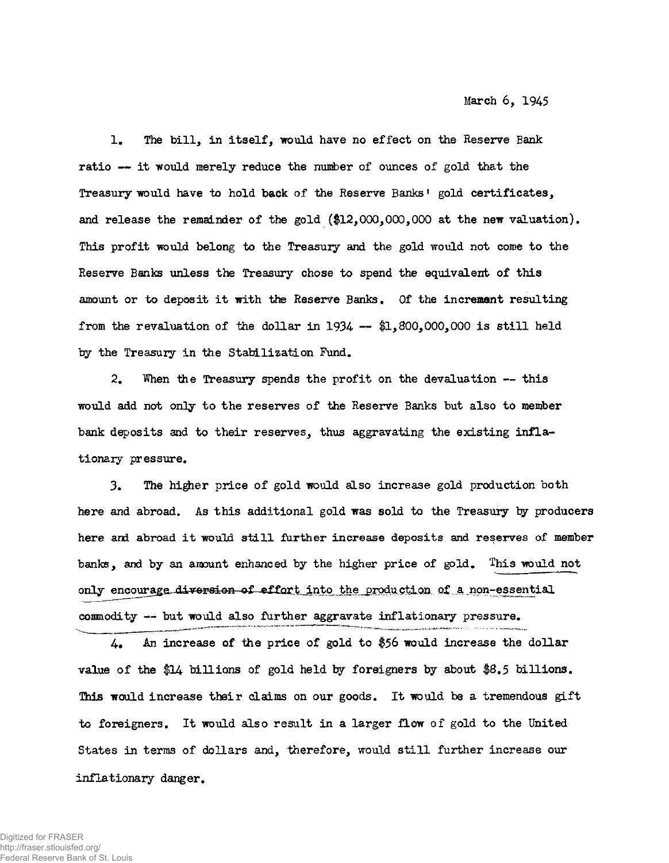1. The bill, in itself, would have no effect on the Reserve Bank ratio — it would merely reduce the number of ounces of gold that the Treasury would have to hold back of the Reserve Banks<sup>1</sup> gold certificates, and release the remainder of the gold  $(\text{$12,000,000,000}$  at the new valuation). This profit would belong to the Treasury and the gold would not come to the Reserve Banks unless the Treasury chose to spend the equivalent of this amount or to deposit it with the Reserve Banks. Of the increment resulting from the revaluation of the dollar in 1934  $-$  \$1,800,000,000 is still held by the Treasury in the Stabilization Fund.

2. When the Treasury spends the profit on the devaluation -- this would add not only to the reserves of the Reserve Banks but also to member bank deposits and to their reserves, thus aggravating the existing inflationary pressure.

3• The higher price of gold would also increase gold production both here and abroad. As this additional gold was sold to the Treasury by producers here and abroad it would still further increase deposits and reserves of member banks, and by an amount enhanced by the higher price of gold. This would not only encourage diversion of effort into the production of a non-essential conmodity — but would also further aggravate inflationary pressure.

 $4.$  An increase of the price of gold to \$56 would increase the dollar value of the \$14 billions of gold held by foreigners by about \$8.5 billions. This would increase their claims on our goods. It would be a tremendous gift to foreigners. It would also result in a larger flow of gold to the United States in terms of dollars and, therefore, would still further increase our inflationary danger.